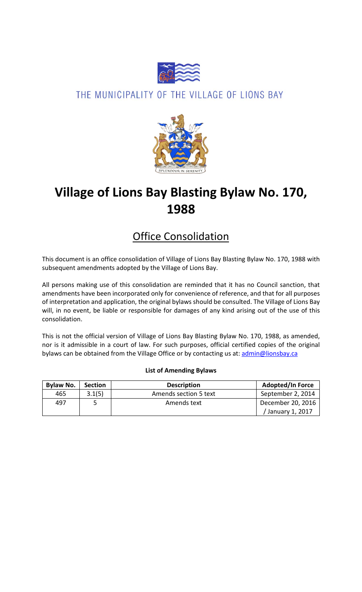

### THE MUNICIPALITY OF THE VILLAGE OF LIONS BAY



# **Village of Lions Bay Blasting Bylaw No. 170, 1988**

## Office Consolidation

This document is an office consolidation of Village of Lions Bay Blasting Bylaw No. 170, 1988 with subsequent amendments adopted by the Village of Lions Bay.

All persons making use of this consolidation are reminded that it has no Council sanction, that amendments have been incorporated only for convenience of reference, and that for all purposes of interpretation and application, the original bylaws should be consulted. The Village of Lions Bay will, in no event, be liable or responsible for damages of any kind arising out of the use of this consolidation.

This is not the official version of Village of Lions Bay Blasting Bylaw No. 170, 1988, as amended, nor is it admissible in a court of law. For such purposes, official certified copies of the original bylaws can be obtained from the Village Office or by contacting us at: [admin@lionsbay.ca](mailto:admin@lionsbay.ca)

| <b>Bylaw No.</b> | <b>Section</b> | <b>Description</b>    | <b>Adopted/In Force</b> |  |  |  |
|------------------|----------------|-----------------------|-------------------------|--|--|--|
| 465              | 3.1(5)         | Amends section 5 text | September 2, 2014       |  |  |  |
| 497              |                | Amends text           | December 20, 2016       |  |  |  |
|                  |                |                       | / January 1, 2017       |  |  |  |

#### **List of Amending Bylaws**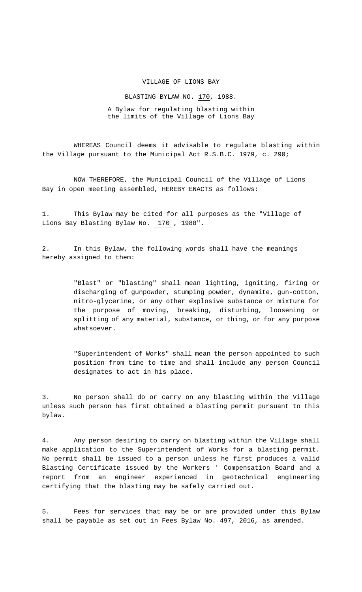#### VILLAGE OF LIONS BAY

BLASTING BYLAW NO. 170, 1988.

A Bylaw for regulating blasting within the limits of the Village of Lions Bay

WHEREAS Council deems it advisable to regulate blasting within the Village pursuant to the Municipal Act R.S.B.C. 1979, c. 290;

NOW THEREFORE, the Municipal Council of the Village of Lions Bay in open meeting assembled, HEREBY ENACTS as follows:

1. This Bylaw may be cited for all purposes as the "Village of Lions Bay Blasting Bylaw No. 170 , 1988".

2. In this Bylaw, the following words shall have the meanings hereby assigned to them:

> "Blast" or "blasting" shall mean lighting, igniting, firing or discharging of gunpowder, stumping powder, dynamite, gun-cotton, nitro-glycerine, or any other explosive substance or mixture for the purpose of moving, breaking, disturbing, loosening or splitting of any material, substance, or thing, or for any purpose whatsoever.

> "Superintendent of Works" shall mean the person appointed to such position from time to time and shall include any person Council designates to act in his place.

3. No person shall do or carry on any blasting within the Village unless such person has first obtained a blasting permit pursuant to this bylaw.

4. Any person desiring to carry on blasting within the Village shall make application to the Superintendent of Works for a blasting permit. No permit shall be issued to a person unless he first produces a valid Blasting Certificate issued by the Workers ' Compensation Board and a report from an engineer experienced in geotechnical engineering certifying that the blasting may be safely carried out.

5. Fees for services that may be or are provided under this Bylaw shall be payable as set out in Fees Bylaw No. 497, 2016, as amended.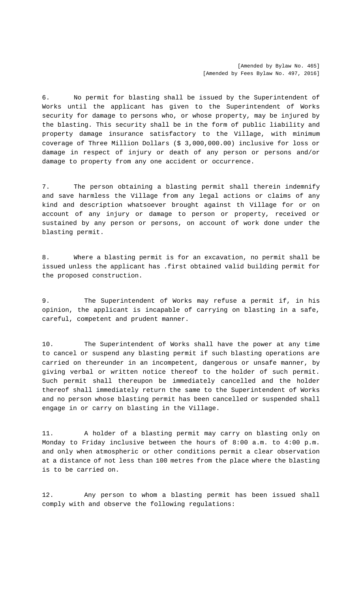6. No permit for blasting shall be issued by the Superintendent of Works until the applicant has given to the Superintendent of Works security for damage to persons who, or whose property, may be injured by the blasting. This security shall be in the form of public liability and property damage insurance satisfactory to the Village, with minimum coverage of Three Million Dollars (\$ 3,000,000.00) inclusive for loss or damage in respect of injury or death of any person or persons and/or damage to property from any one accident or occurrence.

7. The person obtaining a blasting permit shall therein indemnify and save harmless the Village from any legal actions or claims of any kind and description whatsoever brought against th Village for or on account of any injury or damage to person or property, received or sustained by any person or persons, on account of work done under the blasting permit.

8. Where a blasting permit is for an excavation, no permit shall be issued unless the applicant has .first obtained valid building permit for the proposed construction.

9. The Superintendent of Works may refuse a permit if, in his opinion, the applicant is incapable of carrying on blasting in a safe, careful, competent and prudent manner.

10. The Superintendent of Works shall have the power at any time to cancel or suspend any blasting permit if such blasting operations are carried on thereunder in an incompetent, dangerous or unsafe manner, by giving verbal or written notice thereof to the holder of such permit. Such permit shall thereupon be immediately cancelled and the holder thereof shall immediately return the same to the Superintendent of Works and no person whose blasting permit has been cancelled or suspended shall engage in or carry on blasting in the Village.

11. A holder of a blasting permit may carry on blasting only on Monday to Friday inclusive between the hours of 8:00 a.m. to 4:00 p.m. and only when atmospheric or other conditions permit a clear observation at a distance of not less than 100 metres from the place where the blasting is to be carried on.

12. Any person to whom a blasting permit has been issued shall comply with and observe the following regulations: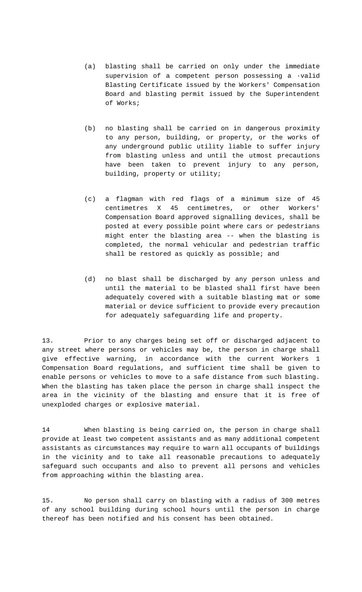- (a) blasting shall be carried on only under the immediate supervision of a competent person possessing a ·valid Blasting Certificate issued by the Workers' Compensation Board and blasting permit issued by the Superintendent of Works;
- (b) no blasting shall be carried on in dangerous proximity to any person, building, or property, or the works of any underground public utility liable to suffer injury from blasting unless and until the utmost precautions have been taken to prevent injury to any person, building, property or utility;
- (c) a flagman with red flags of a minimum size of 45 centimetres X 45 centimetres, or other Workers' Compensation Board approved signalling devices, shall be posted at every possible point where cars or pedestrians might enter the blasting area -- when the blasting is completed, the normal vehicular and pedestrian traffic shall be restored as quickly as possible; and
- (d) no blast shall be discharged by any person unless and until the material to be blasted shall first have been adequately covered with a suitable blasting mat or some material or device sufficient to provide every precaution for adequately safeguarding life and property.

13. Prior to any charges being set off or discharged adjacent to any street where persons or vehicles may be, the person in charge shall give effective warning, in accordance with the current Workers 1 Compensation Board regulations, and sufficient time shall be given to enable persons or vehicles to move to a safe distance from such blasting. When the blasting has taken place the person in charge shall inspect the area in the vicinity of the blasting and ensure that it is free of unexploded charges or explosive material.

14 When blasting is being carried on, the person in charge shall provide at least two competent assistants and as many additional competent assistants as circumstances may require to warn all occupants of buildings in the vicinity and to take all reasonable precautions to adequately safeguard such occupants and also to prevent all persons and vehicles from approaching within the blasting area.

15. No person shall carry on blasting with a radius of 300 metres of any school building during school hours until the person in charge thereof has been notified and his consent has been obtained.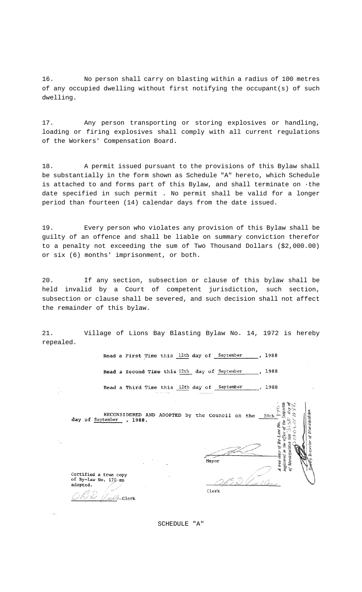16. No person shall carry on blasting within a radius of 100 metres of any occupied dwelling without first notifying the occupant(s) of such dwelling.

17. Any person transporting or storing explosives or handling, loading or firing explosives shall comply with all current regulations of the Workers' Compensation Board.

18. A permit issued pursuant to the provisions of this Bylaw shall be substantially in the form shown as Schedule "A" hereto, which Schedule is attached to and forms part of this Bylaw, and shall terminate on ·the date specified in such permit . No permit shall be valid for a longer period than fourteen (14) calendar days from the date issued.

19. Every person who violates any provision of this Bylaw shall be guilty of an offence and shall be liable on summary conviction therefor to a penalty not exceeding the sum of Two Thousand Dollars (\$2,000.00) or six (6) months' imprisonment, or both.

20. If any section, subsection or clause of this bylaw shall be held invalid by a Court of competent jurisdiction, such section, subsection or clause shall be severed, and such decision shall not affect the remainder of this bylaw.

21. Village of Lions Bay Blasting Bylaw No. 14, 1972 is hereby repealed.

> Read a First Time this 12th day of September , 1988 Read a Second Time this 12th day of September  $.1988$ Read a Third Time this 12th day of September 1988

| RECONSIDERED AND ADOPTED by the Council on the<br>day of September , 1988.              | Municipalities<br>28th         |
|-----------------------------------------------------------------------------------------|--------------------------------|
|                                                                                         | ĵ0j.<br>Munic<br>Mayor<br>uste |
| Certified a true copy<br>of By-law No. 170-as<br>adopted.<br>$\mathcal{A}_{\ell}$ Clerk | Clerk                          |

SCHEDULE "A"